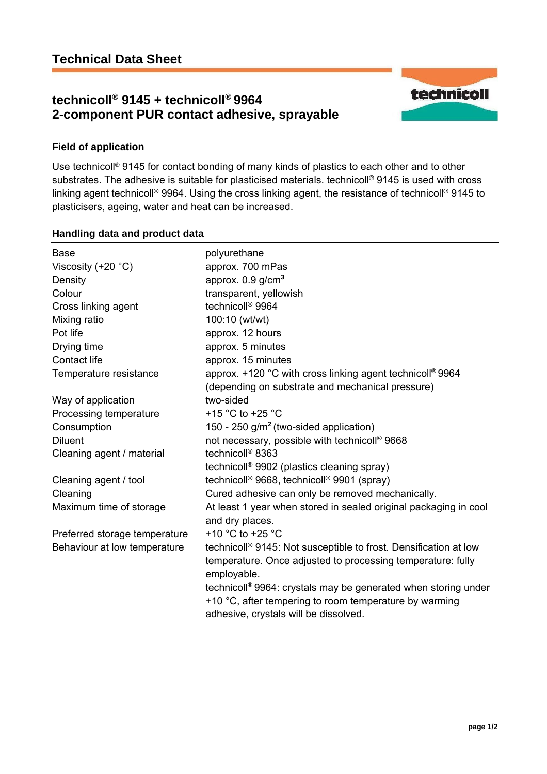# **technicoll® 9145 + technicoll® 9964 2-component PUR contact adhesive, sprayable**



## **Field of application**

Use technicoll® 9145 for contact bonding of many kinds of plastics to each other and to other substrates. The adhesive is suitable for plasticised materials. technicoll<sup>®</sup> 9145 is used with cross linking agent technicoll® 9964. Using the cross linking agent, the resistance of technicoll® 9145 to plasticisers, ageing, water and heat can be increased.

### **Handling data and product data**

| <b>Base</b>                   | polyurethane                                                               |
|-------------------------------|----------------------------------------------------------------------------|
| Viscosity $(+20 °C)$          | approx. 700 mPas                                                           |
| Density                       | approx. $0.9$ g/cm <sup>3</sup>                                            |
| Colour                        | transparent, yellowish                                                     |
| Cross linking agent           | technicoll <sup>®</sup> 9964                                               |
| Mixing ratio                  | 100:10 (wt/wt)                                                             |
| Pot life                      | approx. 12 hours                                                           |
| Drying time                   | approx. 5 minutes                                                          |
| Contact life                  | approx. 15 minutes                                                         |
| Temperature resistance        | approx. +120 °C with cross linking agent technicoll® 9964                  |
|                               | (depending on substrate and mechanical pressure)                           |
| Way of application            | two-sided                                                                  |
| Processing temperature        | +15 °C to +25 °C                                                           |
| Consumption                   | 150 - 250 g/m <sup>2</sup> (two-sided application)                         |
| <b>Diluent</b>                | not necessary, possible with technicoll® 9668                              |
| Cleaning agent / material     | technicoll <sup>®</sup> 8363                                               |
|                               | technicoll <sup>®</sup> 9902 (plastics cleaning spray)                     |
| Cleaning agent / tool         | technicoll <sup>®</sup> 9668, technicoll <sup>®</sup> 9901 (spray)         |
| Cleaning                      | Cured adhesive can only be removed mechanically.                           |
| Maximum time of storage       | At least 1 year when stored in sealed original packaging in cool           |
|                               | and dry places.                                                            |
| Preferred storage temperature | +10 $^{\circ}$ C to +25 $^{\circ}$ C                                       |
| Behaviour at low temperature  | technicoll® 9145: Not susceptible to frost. Densification at low           |
|                               | temperature. Once adjusted to processing temperature: fully                |
|                               | employable.                                                                |
|                               | technicoll <sup>®</sup> 9964: crystals may be generated when storing under |
|                               | +10 °C, after tempering to room temperature by warming                     |
|                               | adhesive, crystals will be dissolved.                                      |